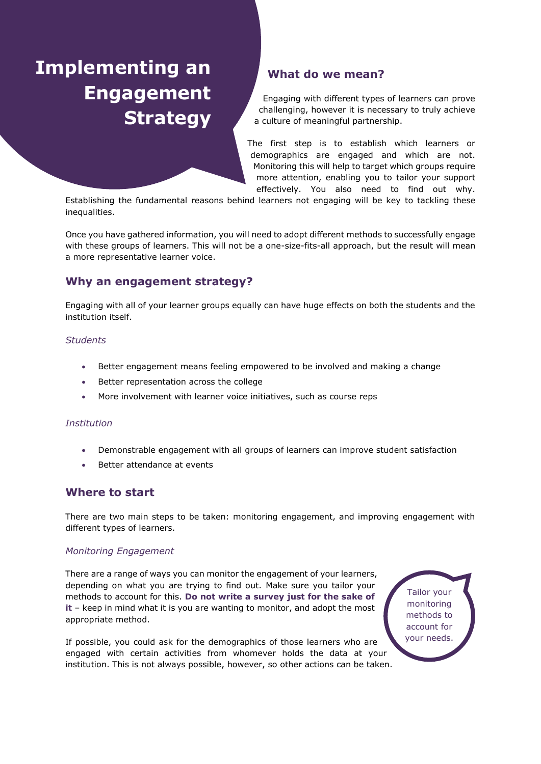# **Implementing an Engagement Strategy**

## **What do we mean?**

Engaging with different types of learners can prove challenging, however it is necessary to truly achieve a culture of meaningful partnership.

The first step is to establish which learners or demographics are engaged and which are not. Monitoring this will help to target which groups require more attention, enabling you to tailor your support effectively. You also need to find out why.

Establishing the fundamental reasons behind learners not engaging will be key to tackling these inequalities.

Once you have gathered information, you will need to adopt different methods to successfully engage with these groups of learners. This will not be a one-size-fits-all approach, but the result will mean a more representative learner voice.

## **Why an engagement strategy?**

Engaging with all of your learner groups equally can have huge effects on both the students and the institution itself.

#### *Students*

- Better engagement means feeling empowered to be involved and making a change
- Better representation across the college
- More involvement with learner voice initiatives, such as course reps

#### *Institution*

- Demonstrable engagement with all groups of learners can improve student satisfaction
- Better attendance at events

## **Where to start**

There are two main steps to be taken: monitoring engagement, and improving engagement with different types of learners.

#### *Monitoring Engagement*

There are a range of ways you can monitor the engagement of your learners, depending on what you are trying to find out. Make sure you tailor your methods to account for this. **Do not write a survey just for the sake of it** – keep in mind what it is you are wanting to monitor, and adopt the most appropriate method.

If possible, you could ask for the demographics of those learners who are engaged with certain activities from whomever holds the data at your institution. This is not always possible, however, so other actions can be taken.

Tailor your monitoring methods to account for your needs.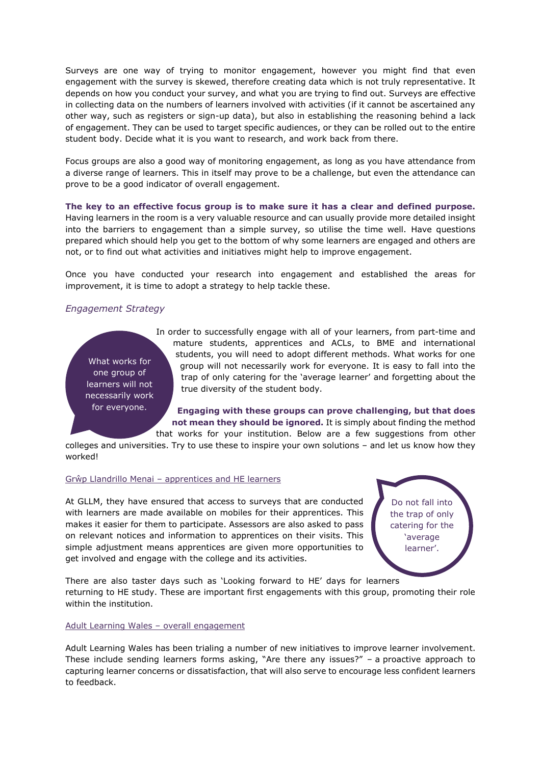Surveys are one way of trying to monitor engagement, however you might find that even engagement with the survey is skewed, therefore creating data which is not truly representative. It depends on how you conduct your survey, and what you are trying to find out. Surveys are effective in collecting data on the numbers of learners involved with activities (if it cannot be ascertained any other way, such as registers or sign-up data), but also in establishing the reasoning behind a lack of engagement. They can be used to target specific audiences, or they can be rolled out to the entire student body. Decide what it is you want to research, and work back from there.

Focus groups are also a good way of monitoring engagement, as long as you have attendance from a diverse range of learners. This in itself may prove to be a challenge, but even the attendance can prove to be a good indicator of overall engagement.

**The key to an effective focus group is to make sure it has a clear and defined purpose.** Having learners in the room is a very valuable resource and can usually provide more detailed insight into the barriers to engagement than a simple survey, so utilise the time well. Have questions prepared which should help you get to the bottom of why some learners are engaged and others are not, or to find out what activities and initiatives might help to improve engagement.

Once you have conducted your research into engagement and established the areas for improvement, it is time to adopt a strategy to help tackle these.

#### *Engagement Strategy*

What works for one group of learners will not necessarily work for everyone.

In order to successfully engage with all of your learners, from part-time and mature students, apprentices and ACLs, to BME and international students, you will need to adopt different methods. What works for one group will not necessarily work for everyone. It is easy to fall into the trap of only catering for the 'average learner' and forgetting about the true diversity of the student body.

**Engaging with these groups can prove challenging, but that does not mean they should be ignored.** It is simply about finding the method that works for your institution. Below are a few suggestions from other

colleges and universities. Try to use these to inspire your own solutions – and let us know how they worked!

#### Grŵp Llandrillo Menai – apprentices and HE learners

At GLLM, they have ensured that access to surveys that are conducted with learners are made available on mobiles for their apprentices. This makes it easier for them to participate. Assessors are also asked to pass on relevant notices and information to apprentices on their visits. This simple adjustment means apprentices are given more opportunities to get involved and engage with the college and its activities.

Do not fall into the trap of only catering for the 'average learner'.

There are also taster days such as 'Looking forward to HE' days for learners returning to HE study. These are important first engagements with this group, promoting their role within the institution.

#### Adult Learning Wales – overall engagement

Adult Learning Wales has been trialing a number of new initiatives to improve learner involvement. These include sending learners forms asking, "Are there any issues?" – a proactive approach to capturing learner concerns or dissatisfaction, that will also serve to encourage less confident learners to feedback.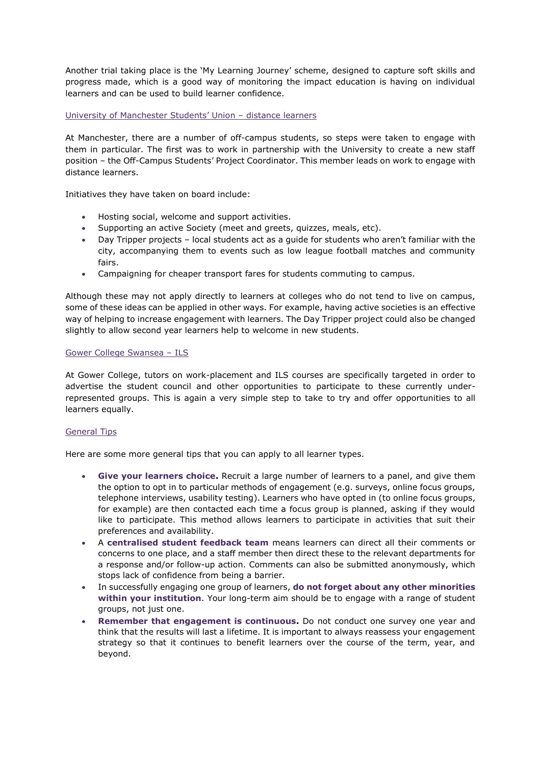Another trial taking place is the 'My Learning Journey' scheme, designed to capture soft skills and progress made, which is a good way of monitoring the impact education is having on individual learners and can be used to build learner confidence.

#### University of Manchester Students' Union – distance learners

At Manchester, there are a number of off-campus students, so steps were taken to engage with them in particular. The first was to work in partnership with the University to create a new staff position – the Off-Campus Students' Project Coordinator. This member leads on work to engage with distance learners.

Initiatives they have taken on board include:

- Hosting social, welcome and support activities.
- Supporting an active Society (meet and greets, quizzes, meals, etc).
- Day Tripper projects local students act as a guide for students who aren't familiar with the city, accompanying them to events such as low league football matches and community fairs.
- Campaigning for cheaper transport fares for students commuting to campus.

Although these may not apply directly to learners at colleges who do not tend to live on campus, some of these ideas can be applied in other ways. For example, having active societies is an effective way of helping to increase engagement with learners. The Day Tripper project could also be changed slightly to allow second year learners help to welcome in new students.

#### Gower College Swansea – ILS

At Gower College, tutors on work-placement and ILS courses are specifically targeted in order to advertise the student council and other opportunities to participate to these currently underrepresented groups. This is again a very simple step to take to try and offer opportunities to all learners equally.

#### General Tips

Here are some more general tips that you can apply to all learner types.

- **Give your learners choice.** Recruit a large number of learners to a panel, and give them the option to opt in to particular methods of engagement (e.g. surveys, online focus groups, telephone interviews, usability testing). Learners who have opted in (to online focus groups, for example) are then contacted each time a focus group is planned, asking if they would like to participate. This method allows learners to participate in activities that suit their preferences and availability.
- A **centralised student feedback team** means learners can direct all their comments or concerns to one place, and a staff member then direct these to the relevant departments for a response and/or follow-up action. Comments can also be submitted anonymously, which stops lack of confidence from being a barrier.
- In successfully engaging one group of learners, **do not forget about any other minorities within your institution**. Your long-term aim should be to engage with a range of student groups, not just one.
- **Remember that engagement is continuous.** Do not conduct one survey one year and think that the results will last a lifetime. It is important to always reassess your engagement strategy so that it continues to benefit learners over the course of the term, year, and beyond.